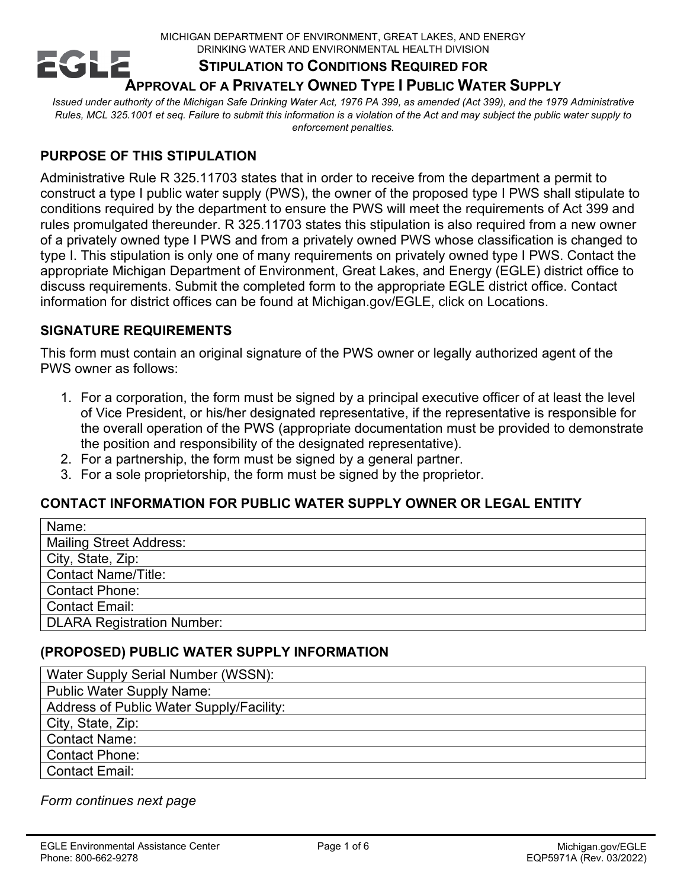MICHIGAN DEPARTMENT OF ENVIRONMENT, GREAT LAKES, AND ENERGY DRINKING WATER AND ENVIRONMENTAL HEALTH DIVISION

#### **EGL STIPULATION TO CONDITIONS REQUIRED FOR APPROVAL OF A PRIVATELY OWNED TYPE I PUBLIC WATER SUPPLY**

*Issued under authority of the Michigan Safe Drinking Water Act, 1976 PA 399, as amended (Act 399), and the 1979 Administrative Rules, MCL 325.1001 et seq. Failure to submit this information is a violation of the Act and may subject the public water supply to enforcement penalties.*

# **PURPOSE OF THIS STIPULATION**

Administrative Rule R 325.11703 states that in order to receive from the department a permit to construct a type I public water supply (PWS), the owner of the proposed type I PWS shall stipulate to conditions required by the department to ensure the PWS will meet the requirements of Act 399 and rules promulgated thereunder. R 325.11703 states this stipulation is also required from a new owner of a privately owned type I PWS and from a privately owned PWS whose classification is changed to type I. This stipulation is only one of many requirements on privately owned type I PWS. Contact the appropriate Michigan Department of Environment, Great Lakes, and Energy (EGLE) district office to discuss requirements. Submit the completed form to the appropriate EGLE district office. Contact information for district offices can be found at Michigan.gov/EGLE, click on Locations.

# **SIGNATURE REQUIREMENTS**

This form must contain an original signature of the PWS owner or legally authorized agent of the PWS owner as follows:

- 1. For a corporation, the form must be signed by a principal executive officer of at least the level of Vice President, or his/her designated representative, if the representative is responsible for the overall operation of the PWS (appropriate documentation must be provided to demonstrate the position and responsibility of the designated representative).
- 2. For a partnership, the form must be signed by a general partner.
- 3. For a sole proprietorship, the form must be signed by the proprietor.

# **CONTACT INFORMATION FOR PUBLIC WATER SUPPLY OWNER OR LEGAL ENTITY**

| Name:                             |
|-----------------------------------|
| <b>Mailing Street Address:</b>    |
| City, State, Zip:                 |
| <b>Contact Name/Title:</b>        |
| <b>Contact Phone:</b>             |
| <b>Contact Email:</b>             |
| <b>DLARA Registration Number:</b> |

# **(PROPOSED) PUBLIC WATER SUPPLY INFORMATION**

| Water Supply Serial Number (WSSN):       |
|------------------------------------------|
| <b>Public Water Supply Name:</b>         |
| Address of Public Water Supply/Facility: |
| City, State, Zip:                        |
| <b>Contact Name:</b>                     |
| <b>Contact Phone:</b>                    |
| Contact Email:                           |

#### *Form continues next page*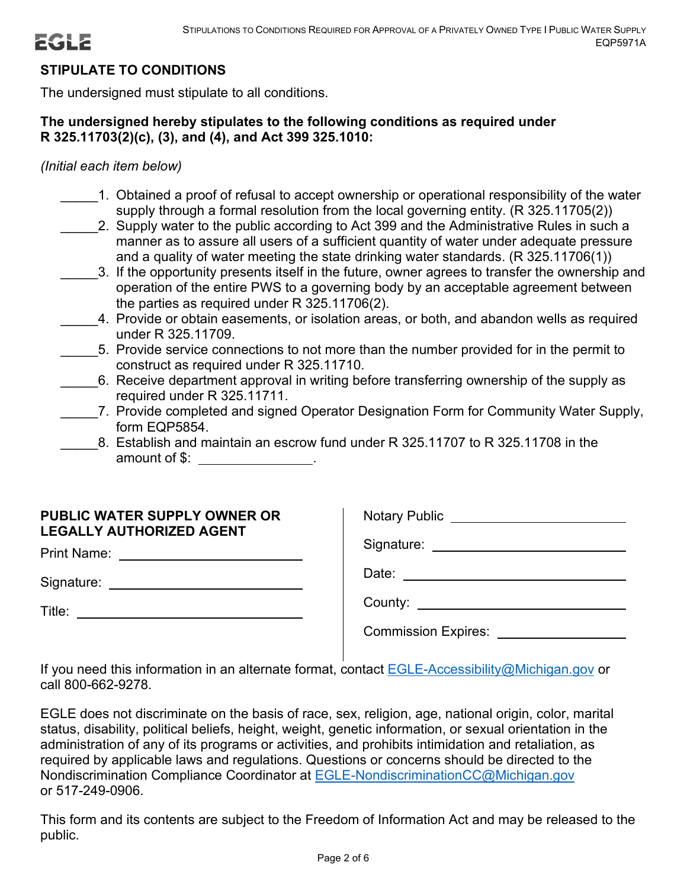# **STIPULATE TO CONDITIONS**

The undersigned must stipulate to all conditions.

#### **The undersigned hereby stipulates to the following conditions as required under R 325.11703(2)(c), (3), and (4), and Act 399 325.1010:**

*(Initial each item below)*

- \_\_\_\_\_1. Obtained a proof of refusal to accept ownership or operational responsibility of the water supply through a formal resolution from the local governing entity. (R 325.11705(2))
	- 2. Supply water to the public according to Act 399 and the Administrative Rules in such a manner as to assure all users of a sufficient quantity of water under adequate pressure and a quality of water meeting the state drinking water standards. (R 325.11706(1))
	- \_\_\_\_\_3. If the opportunity presents itself in the future, owner agrees to transfer the ownership and operation of the entire PWS to a governing body by an acceptable agreement between the parties as required under R 325.11706(2).
- \_\_\_\_\_4. Provide or obtain easements, or isolation areas, or both, and abandon wells as required under R 325.11709.
- \_\_\_\_\_5. Provide service connections to not more than the number provided for in the permit to construct as required under R 325.11710.
- \_\_\_\_\_6. Receive department approval in writing before transferring ownership of the supply as required under R 325.11711.
- 7. Provide completed and signed Operator Designation Form for Community Water Supply, form EQP5854.
- 8. Establish and maintain an escrow fund under R 325.11707 to R 325.11708 in the amount of \$: .

#### **PUBLIC WATER SUPPLY OWNER OR LEGALLY AUTHORIZED AGENT**

Print Name:

Signature: \_\_\_\_\_\_\_\_\_\_\_\_\_\_\_\_\_\_\_\_\_\_\_\_\_\_\_\_\_

| Title: |  |  |  |
|--------|--|--|--|

| <b>Notary Public</b>       |
|----------------------------|
| Signature:                 |
| Date:                      |
| County: _____              |
| <b>Commission Expires:</b> |

If you need this information in an alternate format, contact [EGLE-Accessibility@Michigan.gov](mailto:EGLE-Accessibility@Michigan.gov) or call 800-662-9278.

EGLE does not discriminate on the basis of race, sex, religion, age, national origin, color, marital status, disability, political beliefs, height, weight, genetic information, or sexual orientation in the administration of any of its programs or activities, and prohibits intimidation and retaliation, as required by applicable laws and regulations. Questions or concerns should be directed to the Nondiscrimination Compliance Coordinator at [EGLE-NondiscriminationCC@Michigan.gov](mailto:EGLE-NondiscriminationCC@Michigan.gov) or 517-249-0906.

This form and its contents are subject to the Freedom of Information Act and may be released to the public.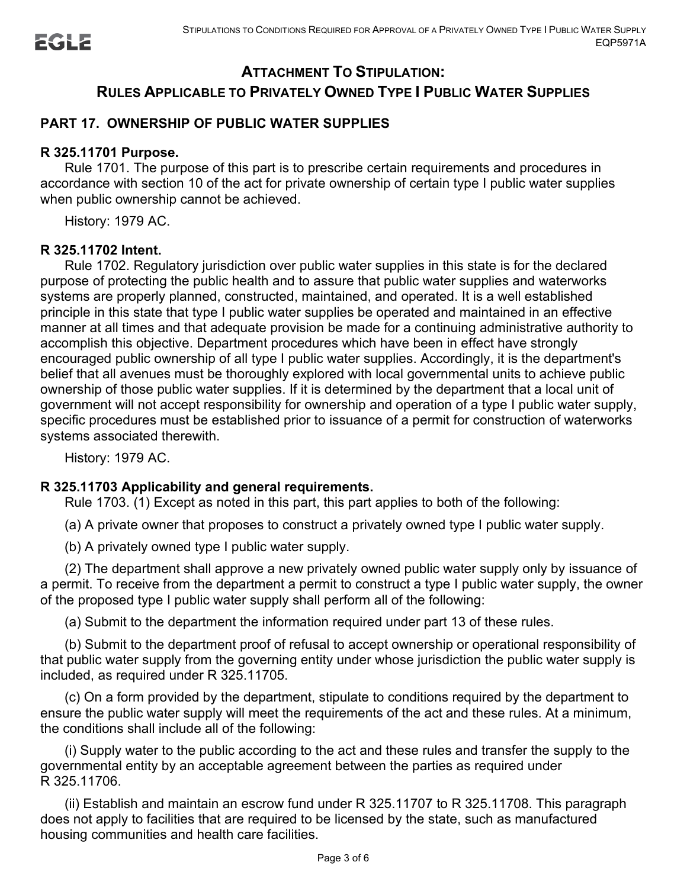# **ATTACHMENT TO STIPULATION: RULES APPLICABLE TO PRIVATELY OWNED TYPE I PUBLIC WATER SUPPLIES**

# **PART 17. OWNERSHIP OF PUBLIC WATER SUPPLIES**

#### **R 325.11701 Purpose.**

Rule 1701. The purpose of this part is to prescribe certain requirements and procedures in accordance with section 10 of the act for private ownership of certain type I public water supplies when public ownership cannot be achieved.

History: 1979 AC.

#### **R 325.11702 Intent.**

Rule 1702. Regulatory jurisdiction over public water supplies in this state is for the declared purpose of protecting the public health and to assure that public water supplies and waterworks systems are properly planned, constructed, maintained, and operated. It is a well established principle in this state that type I public water supplies be operated and maintained in an effective manner at all times and that adequate provision be made for a continuing administrative authority to accomplish this objective. Department procedures which have been in effect have strongly encouraged public ownership of all type I public water supplies. Accordingly, it is the department's belief that all avenues must be thoroughly explored with local governmental units to achieve public ownership of those public water supplies. If it is determined by the department that a local unit of government will not accept responsibility for ownership and operation of a type I public water supply, specific procedures must be established prior to issuance of a permit for construction of waterworks systems associated therewith.

History: 1979 AC.

# **R 325.11703 Applicability and general requirements.**

Rule 1703. (1) Except as noted in this part, this part applies to both of the following:

(a) A private owner that proposes to construct a privately owned type I public water supply.

(b) A privately owned type I public water supply.

(2) The department shall approve a new privately owned public water supply only by issuance of a permit. To receive from the department a permit to construct a type I public water supply, the owner of the proposed type I public water supply shall perform all of the following:

(a) Submit to the department the information required under part 13 of these rules.

(b) Submit to the department proof of refusal to accept ownership or operational responsibility of that public water supply from the governing entity under whose jurisdiction the public water supply is included, as required under R 325.11705.

(c) On a form provided by the department, stipulate to conditions required by the department to ensure the public water supply will meet the requirements of the act and these rules. At a minimum, the conditions shall include all of the following:

(i) Supply water to the public according to the act and these rules and transfer the supply to the governmental entity by an acceptable agreement between the parties as required under R 325.11706.

(ii) Establish and maintain an escrow fund under R 325.11707 to R 325.11708. This paragraph does not apply to facilities that are required to be licensed by the state, such as manufactured housing communities and health care facilities.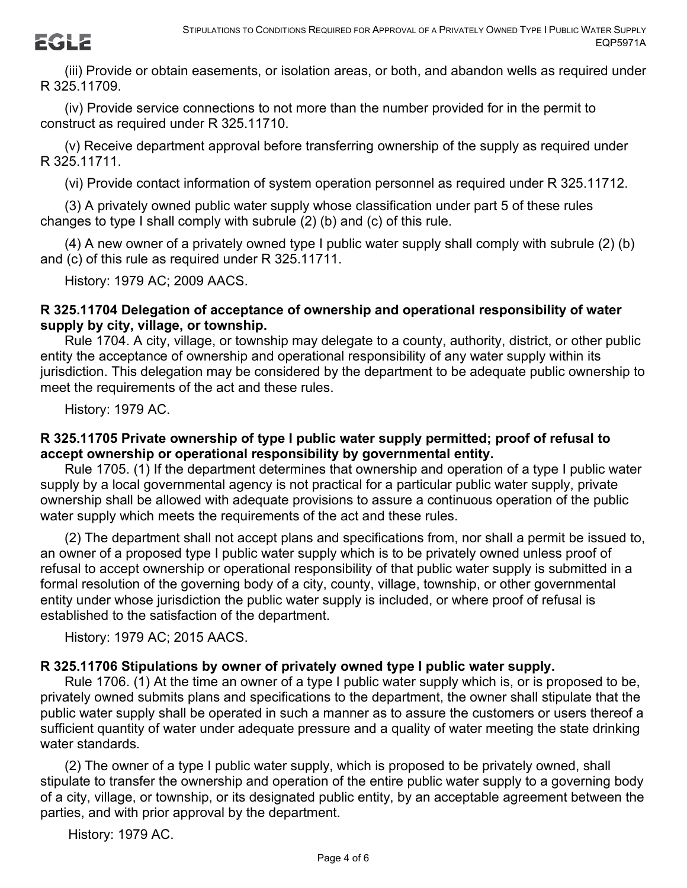**EGLE** 

(iii) Provide or obtain easements, or isolation areas, or both, and abandon wells as required under R 325.11709.

(iv) Provide service connections to not more than the number provided for in the permit to construct as required under R 325.11710.

(v) Receive department approval before transferring ownership of the supply as required under R 325.11711.

(vi) Provide contact information of system operation personnel as required under R 325.11712.

(3) A privately owned public water supply whose classification under part 5 of these rules changes to type I shall comply with subrule (2) (b) and (c) of this rule.

(4) A new owner of a privately owned type I public water supply shall comply with subrule (2) (b) and (c) of this rule as required under R 325.11711.

History: 1979 AC; 2009 AACS.

#### **R 325.11704 Delegation of acceptance of ownership and operational responsibility of water supply by city, village, or township.**

Rule 1704. A city, village, or township may delegate to a county, authority, district, or other public entity the acceptance of ownership and operational responsibility of any water supply within its jurisdiction. This delegation may be considered by the department to be adequate public ownership to meet the requirements of the act and these rules.

History: 1979 AC.

# **R 325.11705 Private ownership of type I public water supply permitted; proof of refusal to accept ownership or operational responsibility by governmental entity.**

Rule 1705. (1) If the department determines that ownership and operation of a type I public water supply by a local governmental agency is not practical for a particular public water supply, private ownership shall be allowed with adequate provisions to assure a continuous operation of the public water supply which meets the requirements of the act and these rules.

(2) The department shall not accept plans and specifications from, nor shall a permit be issued to, an owner of a proposed type I public water supply which is to be privately owned unless proof of refusal to accept ownership or operational responsibility of that public water supply is submitted in a formal resolution of the governing body of a city, county, village, township, or other governmental entity under whose jurisdiction the public water supply is included, or where proof of refusal is established to the satisfaction of the department.

History: 1979 AC; 2015 AACS.

# **R 325.11706 Stipulations by owner of privately owned type I public water supply.**

Rule 1706. (1) At the time an owner of a type I public water supply which is, or is proposed to be, privately owned submits plans and specifications to the department, the owner shall stipulate that the public water supply shall be operated in such a manner as to assure the customers or users thereof a sufficient quantity of water under adequate pressure and a quality of water meeting the state drinking water standards.

(2) The owner of a type I public water supply, which is proposed to be privately owned, shall stipulate to transfer the ownership and operation of the entire public water supply to a governing body of a city, village, or township, or its designated public entity, by an acceptable agreement between the parties, and with prior approval by the department.

History: 1979 AC.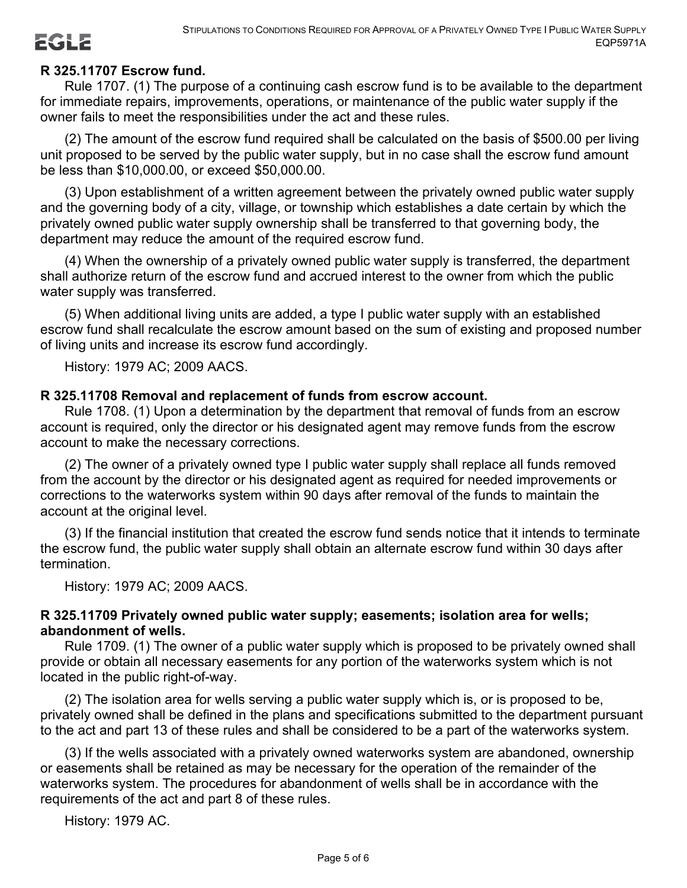# **R 325.11707 Escrow fund.**

Rule 1707. (1) The purpose of a continuing cash escrow fund is to be available to the department for immediate repairs, improvements, operations, or maintenance of the public water supply if the owner fails to meet the responsibilities under the act and these rules.

(2) The amount of the escrow fund required shall be calculated on the basis of \$500.00 per living unit proposed to be served by the public water supply, but in no case shall the escrow fund amount be less than \$10,000.00, or exceed \$50,000.00.

(3) Upon establishment of a written agreement between the privately owned public water supply and the governing body of a city, village, or township which establishes a date certain by which the privately owned public water supply ownership shall be transferred to that governing body, the department may reduce the amount of the required escrow fund.

(4) When the ownership of a privately owned public water supply is transferred, the department shall authorize return of the escrow fund and accrued interest to the owner from which the public water supply was transferred.

(5) When additional living units are added, a type I public water supply with an established escrow fund shall recalculate the escrow amount based on the sum of existing and proposed number of living units and increase its escrow fund accordingly.

History: 1979 AC; 2009 AACS.

#### **R 325.11708 Removal and replacement of funds from escrow account.**

Rule 1708. (1) Upon a determination by the department that removal of funds from an escrow account is required, only the director or his designated agent may remove funds from the escrow account to make the necessary corrections.

(2) The owner of a privately owned type I public water supply shall replace all funds removed from the account by the director or his designated agent as required for needed improvements or corrections to the waterworks system within 90 days after removal of the funds to maintain the account at the original level.

(3) If the financial institution that created the escrow fund sends notice that it intends to terminate the escrow fund, the public water supply shall obtain an alternate escrow fund within 30 days after termination.

History: 1979 AC; 2009 AACS.

#### **R 325.11709 Privately owned public water supply; easements; isolation area for wells; abandonment of wells.**

Rule 1709. (1) The owner of a public water supply which is proposed to be privately owned shall provide or obtain all necessary easements for any portion of the waterworks system which is not located in the public right-of-way.

(2) The isolation area for wells serving a public water supply which is, or is proposed to be, privately owned shall be defined in the plans and specifications submitted to the department pursuant to the act and part 13 of these rules and shall be considered to be a part of the waterworks system.

(3) If the wells associated with a privately owned waterworks system are abandoned, ownership or easements shall be retained as may be necessary for the operation of the remainder of the waterworks system. The procedures for abandonment of wells shall be in accordance with the requirements of the act and part 8 of these rules.

History: 1979 AC.